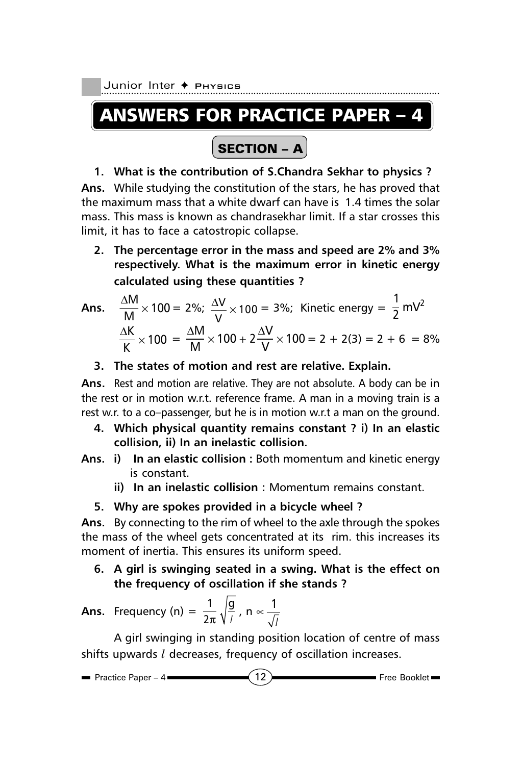Junior Inter ← Physics

# ANSWERS FOR PRACTICE PAPER – 4

## SECTION – A

## **1. What is the contribution of S.Chandra Sekhar to physics ?**

**Ans.** While studying the constitution of the stars, he has proved that the maximum mass that a white dwarf can have is 1.4 times the solar mass. This mass is known as chandrasekhar limit. If a star crosses this limit, it has to face a catostropic collapse.

**2. The percentage error in the mass and speed are 2% and 3% respectively. What is the maximum error in kinetic energy calculated using these quantities ?**

Ans. 
$$
\frac{\Delta M}{M} \times 100 = 2\%; \frac{\Delta V}{V} \times 100 = 3\%; \text{ Kinetic energy} = \frac{1}{2} \text{ mV}^2
$$
  
 $\frac{\Delta K}{K} \times 100 = \frac{\Delta M}{M} \times 100 + 2\frac{\Delta V}{V} \times 100 = 2 + 2(3) = 2 + 6 = 8\%$ 

**3. The states of motion and rest are relative. Explain.**

**Ans.** Rest and motion are relative. They are not absolute. A body can be in the rest or in motion w.r.t. reference frame. A man in a moving train is a rest w.r. to a co–passenger, but he is in motion w.r.t a man on the ground.

- **4. Which physical quantity remains constant ? i) In an elastic collision, ii) In an inelastic collision.**
- **Ans. i) In an elastic collision :** Both momentum and kinetic energy is constant.
	- **ii) In an inelastic collision :** Momentum remains constant.
	- **5. Why are spokes provided in a bicycle wheel ?**

**Ans.** By connecting to the rim of wheel to the axle through the spokes the mass of the wheel gets concentrated at its rim. this increases its moment of inertia. This ensures its uniform speed.

**6. A girl is swinging seated in a swing. What is the effect on the frequency of oscillation if she stands ?**

**Ans.** Frequency (n) = 
$$
\frac{1}{2\pi} \sqrt{\frac{9}{l}}
$$
, n  $\propto \frac{1}{\sqrt{l}}$ 

A girl swinging in standing position location of centre of mass shifts upwards *l* decreases, frequency of oscillation increases.

$$
\blacksquare
$$
 Practice Paper - 4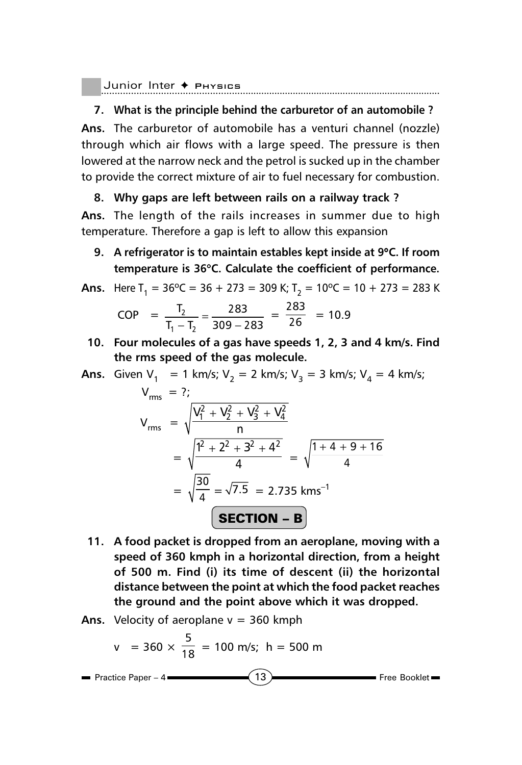```
Junior Inter ✦ Physics
```
## **7. What is the principle behind the carburetor of an automobile ?**

**Ans.** The carburetor of automobile has a venturi channel (nozzle) through which air flows with a large speed. The pressure is then lowered at the narrow neck and the petrol is sucked up in the chamber to provide the correct mixture of air to fuel necessary for combustion.

## **8. Why gaps are left between rails on a railway track ?**

**Ans.** The length of the rails increases in summer due to high temperature. Therefore a gap is left to allow this expansion

**9. A refrigerator is to maintain estables kept inside at 9**°**C. If room temperature is 36**°**C. Calculate the coefficient of performance.**

**Ans.** Here 
$$
T_1 = 36^{\circ}\text{C} = 36 + 273 = 309 \text{ K}
$$
;  $T_2 = 10^{\circ}\text{C} = 10 + 273 = 283 \text{ K}$ 

COP = 
$$
\frac{T_2}{T_1 - T_2} = \frac{283}{309 - 283} = \frac{283}{26} = 10.9
$$

**10. Four molecules of a gas have speeds 1, 2, 3 and 4 km/s. Find the rms speed of the gas molecule.**

**Ans.** Given 
$$
V_1 = 1
$$
 km/s;  $V_2 = 2$  km/s;  $V_3 = 3$  km/s;  $V_4 = 4$  km/s;

$$
V_{rms} = ?;
$$
  
\n
$$
V_{rms} = \sqrt{\frac{V_1^2 + V_2^2 + V_3^2 + V_4^2}{n}}
$$
  
\n
$$
= \sqrt{\frac{1^2 + 2^2 + 3^2 + 4^2}{4}} = \sqrt{\frac{1 + 4 + 9 + 16}{4}}
$$
  
\n
$$
= \sqrt{\frac{30}{4}} = \sqrt{7.5} = 2.735 \text{ km s}^{-1}
$$
  
\n**SECTION - B**

- **11. A food packet is dropped from an aeroplane, moving with a speed of 360 kmph in a horizontal direction, from a height of 500 m. Find (i) its time of descent (ii) the horizontal distance between the point at which the food packet reaches the ground and the point above which it was dropped.**
- **Ans.** Velocity of aeroplane  $v = 360$  kmph

$$
v = 360 \times \frac{5}{18} = 100 \text{ m/s}; \text{ h} = 500 \text{ m}
$$

**Practice Paper – 4**  $\bullet$  **Practice Paper – 4**  $\bullet$  **Free Booklet**  $\bullet$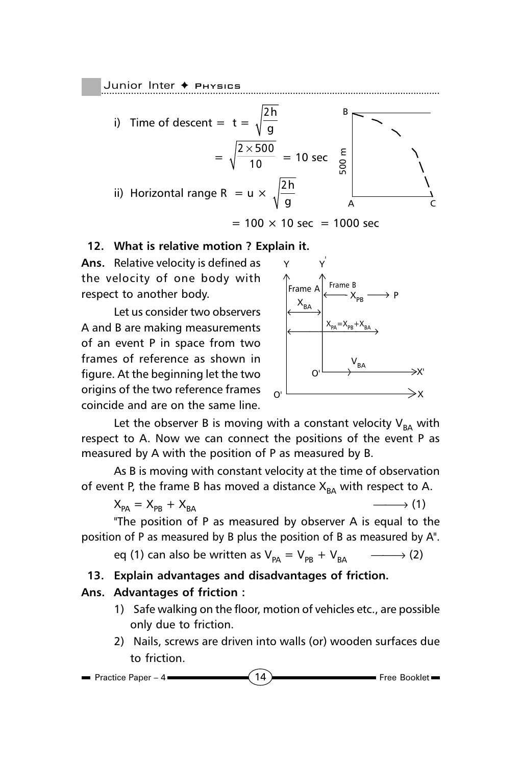Junior Inter **← PHYSICS** 



 $= 100 \times 10$  sec = 1000 sec

#### **12. What is relative motion ? Explain it.**

**Ans.** Relative velocity is defined as the velocity of one body with respect to another body.

Let us consider two observers A and B are making measurements of an event P in space from two frames of reference as shown in figure. At the beginning let the two origins of the two reference frames coincide and are on the same line.



Let the observer B is moving with a constant velocity  $V_{BA}$  with respect to A. Now we can connect the positions of the event P as measured by A with the position of P as measured by B.

As B is moving with constant velocity at the time of observation of event P, the frame B has moved a distance  $X_{BA}$  with respect to A.

$$
X_{PA} = X_{PB} + X_{BA}
$$
 (1)

"The position of P as measured by observer A is equal to the position of P as measured by B plus the position of B as measured by A".

eq (1) can also be written as  $V_{pA} = V_{pB} + V_{BA}$   $\longrightarrow$  (2)

## **13. Explain advantages and disadvantages of friction.**

## **Ans. Advantages of friction :**

- 1) Safe walking on the floor, motion of vehicles etc., are possible only due to friction.
- 2) Nails, screws are driven into walls (or) wooden surfaces due to friction.

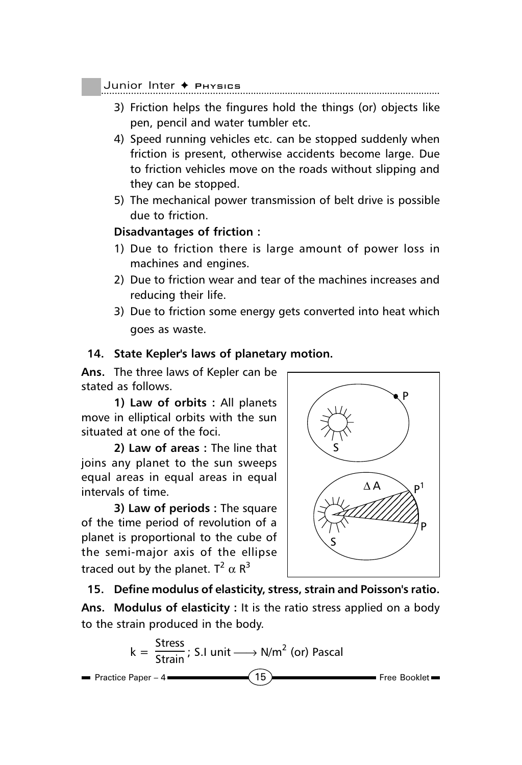#### Junior Inter ◆ Physics

- 3) Friction helps the fingures hold the things (or) objects like pen, pencil and water tumbler etc.
- 4) Speed running vehicles etc. can be stopped suddenly when friction is present, otherwise accidents become large. Due to friction vehicles move on the roads without slipping and they can be stopped.
- 5) The mechanical power transmission of belt drive is possible due to friction.

## **Disadvantages of friction :**

- 1) Due to friction there is large amount of power loss in machines and engines.
- 2) Due to friction wear and tear of the machines increases and reducing their life.
- 3) Due to friction some energy gets converted into heat which goes as waste.

## **14. State Kepler's laws of planetary motion.**

**Ans.** The three laws of Kepler can be stated as follows.

**1) Law of orbits :** All planets move in elliptical orbits with the sun situated at one of the foci.

**2) Law of areas :** The line that joins any planet to the sun sweeps equal areas in equal areas in equal intervals of time.

**3) Law of periods :** The square of the time period of revolution of a planet is proportional to the cube of the semi-major axis of the ellipse traced out by the planet.  $T^2 \alpha R^3$ 



**15. Define modulus of elasticity, stress, strain and Poisson's ratio. Ans. Modulus of elasticity :** It is the ratio stress applied on a body to the strain produced in the body.

$$
k = \frac{\text{Stress}}{\text{Strain}}; S.I \text{ unit} \longrightarrow N/m^2 \text{ (or) Pascal}
$$
\nPractice Paper - 4

\n15

\nFree Booklet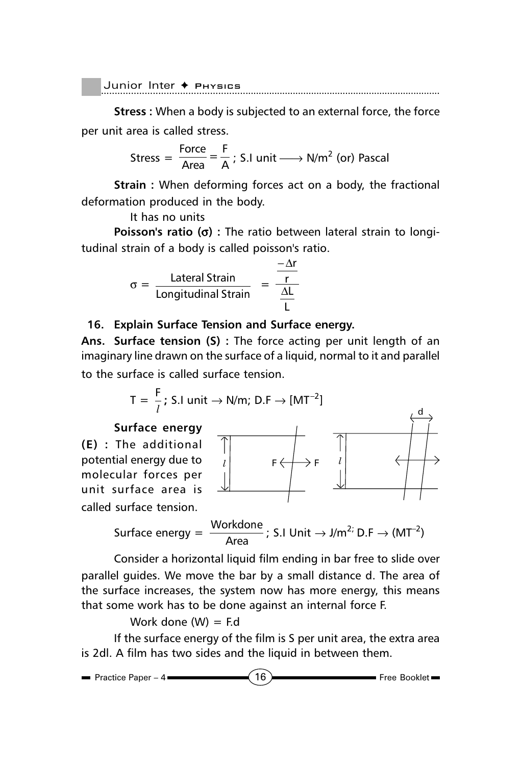$J$ unior Inter  $\blacklozenge$  Physics

**Stress :** When a body is subjected to an external force, the force per unit area is called stress.

$$
Stress = \frac{Force}{Area} = \frac{F}{A}
$$
; S.I unit  $\longrightarrow$  N/m<sup>2</sup> (or) Pascal

**Strain :** When deforming forces act on a body, the fractional deformation produced in the body.

It has no units

**Poisson's ratio (**σ**) :** The ratio between lateral strain to longitudinal strain of a body is called poisson's ratio.

$$
\sigma = \frac{\text{Lateral Strain}}{\text{Longitudinal Strain}} = \frac{\frac{-\Delta r}{r}}{\frac{\Delta L}{L}}
$$

#### **16. Explain Surface Tension and Surface energy.**

**Ans. Surface tension (S) :** The force acting per unit length of an imaginary line drawn on the surface of a liquid, normal to it and parallel to the surface is called surface tension.

d

$$
T = \frac{F}{l}
$$
; S.I unit  $\rightarrow$  N/m; D.F  $\rightarrow$  [MT<sup>-2</sup>]

#### **Surface energy**



Surface energy =  $\frac{\text{Workdone}}{\text{Area}}$ ; S.I Unit  $\rightarrow$  J/m<sup>2;</sup> D.F  $\rightarrow$  (MT<sup>-2</sup>)

Consider a horizontal liquid film ending in bar free to slide over parallel guides. We move the bar by a small distance d. The area of the surface increases, the system now has more energy, this means that some work has to be done against an internal force F.

Work done  $(W) = Fd$ 

If the surface energy of the film is S per unit area, the extra area is 2dl. A film has two sides and the liquid in between them.

$$
\blacksquare
$$
 Practice Paper - 4  $\blacksquare$  16  $\blacksquare$  Free Booklet  $\blacksquare$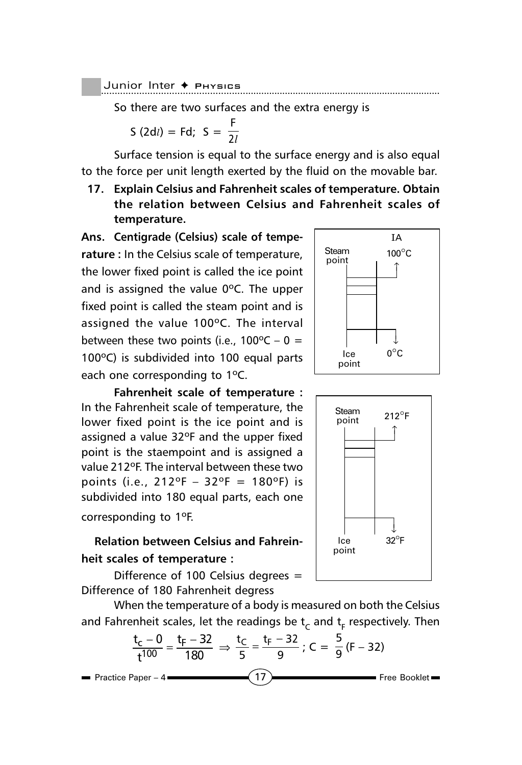Junior Inter ✦ Pнузісs

So there are two surfaces and the extra energy is

S (2d*l*) = Fd; S = 
$$
\frac{F}{2l}
$$

Surface tension is equal to the surface energy and is also equal to the force per unit length exerted by the fluid on the movable bar.

**17. Explain Celsius and Fahrenheit scales of temperature. Obtain the relation between Celsius and Fahrenheit scales of temperature.**

**Ans. Centigrade (Celsius) scale of temperature :** In the Celsius scale of temperature, the lower fixed point is called the ice point and is assigned the value 0ºC. The upper fixed point is called the steam point and is assigned the value 100ºC. The interval between these two points (i.e.,  $100^{\circ}C - 0 =$ 100ºC) is subdivided into 100 equal parts each one corresponding to 1ºC.



assigned a value 32ºF and the upper fixed point is the staempoint and is assigned a value 212ºF. The interval between these two points (i.e.,  $212^{\circ}F - 32^{\circ}F = 180^{\circ}F$ ) is subdivided into 180 equal parts, each one

corresponding to 1ºF.

## **Relation between Celsius and Fahreinheit scales of temperature :**

Difference of 100 Celsius degrees  $=$ Difference of 180 Fahrenheit degress

When the temperature of a body is measured on both the Celsius and Fahrenheit scales, let the readings be  $\mathsf{t}_{\mathsf{C}}$  and  $\mathsf{t}_{\mathsf{F}}$  respectively. Then

$$
\frac{t_c - 0}{t^{100}} = \frac{t_F - 32}{180} \Rightarrow \frac{t_C}{5} = \frac{t_F - 32}{9}; C = \frac{5}{9} (F - 32)
$$
\nPractice Paper -4

\n(17)



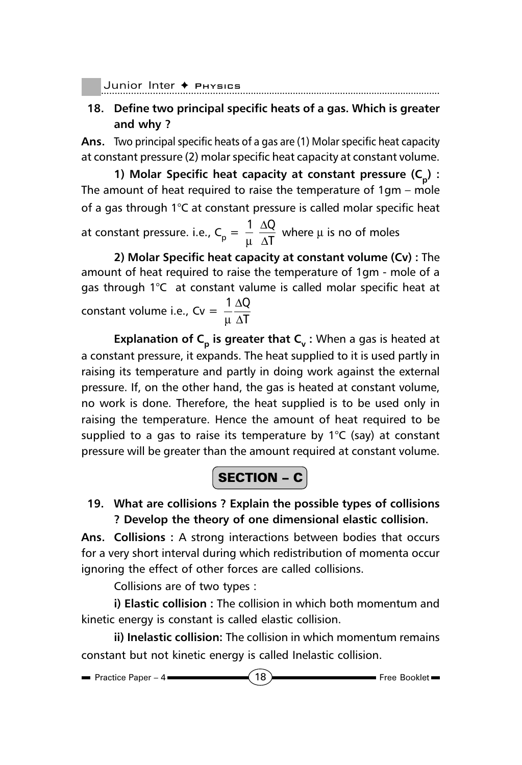Junior Inter ✦ Pнузісs

**18. Define two principal specific heats of a gas. Which is greater and why ?**

**Ans.** Two principal specific heats of a gas are (1) Molar specific heat capacity at constant pressure (2) molar specific heat capacity at constant volume.

**1) Molar Specific heat capacity at constant pressure (C<sub>n</sub>) :** The amount of heat required to raise the temperature of 1gm – mole of a gas through 1°C at constant pressure is called molar specific heat

at constant pressure. i.e.,  $C_p = \frac{1}{\mu} \frac{\Delta Q}{\Delta T}$ T ∆  $\frac{1}{\mu}$   $\frac{\Delta Q}{\Delta T}$  where  $\mu$  is no of moles

**2) Molar Specific heat capacity at constant volume (Cv) :** The amount of heat required to raise the temperature of 1gm - mole of a gas through 1°C at constant valume is called molar specific heat at constant volume i.e.,  $Cv = \frac{1}{2} \frac{\Delta Q}{\Delta t}$ T ∆ µ ∆

**Explanation of C<sub>p</sub> is greater that C<sub>v</sub>: When a gas is heated at** a constant pressure, it expands. The heat supplied to it is used partly in raising its temperature and partly in doing work against the external pressure. If, on the other hand, the gas is heated at constant volume, no work is done. Therefore, the heat supplied is to be used only in raising the temperature. Hence the amount of heat required to be supplied to a gas to raise its temperature by  $1^{\circ}C$  (say) at constant pressure will be greater than the amount required at constant volume.

$$
\boxed{\textbf{SECTION} - \textbf{C}}
$$

**19. What are collisions ? Explain the possible types of collisions ? Develop the theory of one dimensional elastic collision.**

**Ans. Collisions :** A strong interactions between bodies that occurs for a very short interval during which redistribution of momenta occur ignoring the effect of other forces are called collisions.

Collisions are of two types :

**i) Elastic collision :** The collision in which both momentum and kinetic energy is constant is called elastic collision.

**ii) Inelastic collision:** The collision in which momentum remains constant but not kinetic energy is called Inelastic collision.

$$
\blacksquare
$$
 Practice Paper - 4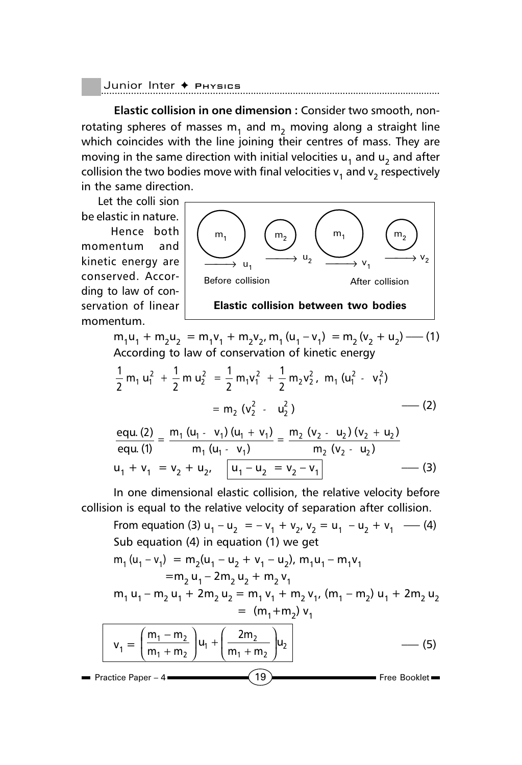```
Junior Inter ◆ Pнузісs
```
**Elastic collision in one dimension :** Consider two smooth, nonrotating spheres of masses  $m_1$  and  $m_2$  moving along a straight line which coincides with the line joining their centres of mass. They are moving in the same direction with initial velocities  $u_1$  and  $u_2$  and after collision the two bodies move with final velocities  $v_1$  and  $v_2$  respectively in the same direction.

 Let the colli sion be elastic in nature. Hence both momentum and kinetic energy are conserved. According to law of conservation of linear momentum.



 $m_1u_1 + m_2u_2 = m_1v_1 + m_2v_2$ ,  $m_1(u_1 - v_1) = m_2(v_2 + u_2)$  —– (1) According to law of conservation of kinetic energy

$$
\frac{1}{2} m_1 u_1^2 + \frac{1}{2} m u_2^2 = \frac{1}{2} m_1 v_1^2 + \frac{1}{2} m_2 v_2^2, m_1 (u_1^2 - v_1^2)
$$
  
=  $m_2 (v_2^2 - u_2^2)$  (2)

$$
\frac{equ. (2)}{equ. (1)} = \frac{m_1 (u_1 - v_1) (u_1 + v_1)}{m_1 (u_1 - v_1)} = \frac{m_2 (v_2 - u_2) (v_2 + u_2)}{m_2 (v_2 - u_2)}
$$
  
 
$$
u_1 + v_1 = v_2 + u_2, \quad \boxed{u_1 - u_2 = v_2 - v_1}
$$
 (3)

In one dimensional elastic collision, the relative velocity before collision is equal to the relative velocity of separation after collision.

**Practice Paper – 4**  $\longrightarrow$  **19 Free Booklet** From equation (3)  $u_1 - u_2 = -v_1 + v_2$ ,  $v_2 = u_1 - u_2 + v_1$  –– (4) Sub equation (4) in equation (1) we get  $m_1 (u_1 - v_1) = m_2(u_1 - u_2 + v_1 - u_2)$ ,  $m_1 u_1 - m_1 v_1$  $=$ m<sub>2</sub> u<sub>1</sub> – 2m<sub>2</sub> u<sub>2</sub> + m<sub>2</sub> v<sub>1</sub>  $m_1 u_1 - m_2 u_1 + 2m_2 u_2 = m_1 v_1 + m_2 v_1$ ,  $(m_1 - m_2) u_1 + 2m_2 u_2$  $=$  (m<sub>1</sub>+m<sub>2</sub>) v<sub>1</sub>  $v_1 = \frac{m_1}{m_1}$  $\frac{2}{m}$  |  $u_1$  + |  $\frac{2m_2}{m+m_1}$  |  $u_2$ 2 -2) ("1 2  $m_1 - m_2$  ) (2m  $m_1 + m_2$  |  $m_1 + m_2$  $\left(\frac{m_1 - m_2}{m_1 + m_2}\right) u_1 + \left(\frac{2m_2}{m_1 + m_2}\right)$  $\left(\frac{1}{m_1 + m_2}\right)^{u_1} + \left(\frac{2}{m_1 + m_2}\right)^{u_2}$  (5)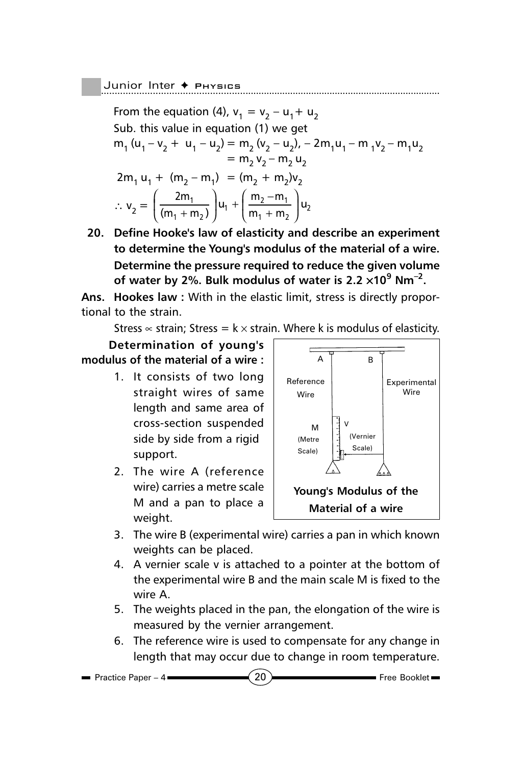Junior Inter + PHYSICS

From the equation (4),  $v_1 = v_2 - u_1 + u_2$ Sub. this value in equation (1) we get  $m_1$  (u<sub>1</sub> – v<sub>2</sub> + u<sub>1</sub> – u<sub>2</sub>) = m<sub>2</sub> (v<sub>2</sub> – u<sub>2</sub>), – 2m<sub>1</sub>u<sub>1</sub> – m<sub>1</sub>v<sub>2</sub> – m<sub>1</sub>u<sub>2</sub>  $= m_2 v_2 - m_2 u_2$  $2m_1 u_1 + (m_2 - m_1) = (m_2 + m_2)v_2$  $\therefore v_2 = \left( \frac{2m_1}{(m_1 + m_2)} \right) u_1 + \left( \frac{m_2 - m_1}{m_1 + m_2} \right) u_2$  $\left(\frac{2m_1}{(m_1+m_2)}\right)u_1 + \left(\frac{m_2-m_1}{m_1+m_2}\right)u_2$  $(m_1 + m_2)$   $\int_{1}^{m_1} (m_1 + m_2)$ 

**20. Define Hooke's law of elasticity and describe an experiment to determine the Young's modulus of the material of a wire. Determine the pressure required to reduce the given volume of water by 2%. Bulk modulus of water is 2.2** ×**109 Nm–2.**

**Ans. Hookes law :** With in the elastic limit, stress is directly proportional to the strain.

Stress  $\infty$  strain; Stress = k  $\times$  strain. Where k is modulus of elasticity.

 **Determination of young's modulus of the material of a wire :**

- 1. It consists of two long straight wires of same length and same area of cross-section suspended side by side from a rigid support.
- 2. The wire A (reference wire) carries a metre scale M and a pan to place a weight.



- 3. The wire B (experimental wire) carries a pan in which known weights can be placed.
- 4. A vernier scale v is attached to a pointer at the bottom of the experimental wire B and the main scale M is fixed to the wire A.
- 5. The weights placed in the pan, the elongation of the wire is measured by the vernier arrangement.
- 6. The reference wire is used to compensate for any change in length that may occur due to change in room temperature.

Practice Paper – 4  $\longrightarrow$  (20) Free Booklet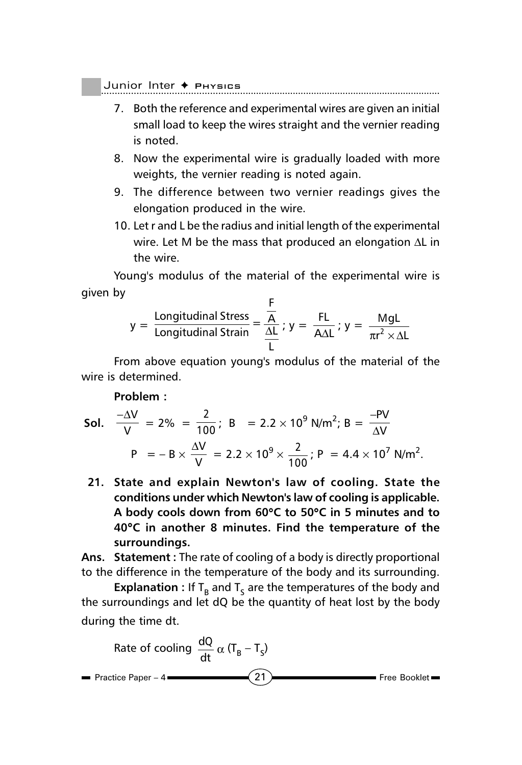$\,$  Junior Inter  $\, \blacklozenge \,$  Physics

- 7. Both the reference and experimental wires are given an initial small load to keep the wires straight and the vernier reading is noted.
- 8. Now the experimental wire is gradually loaded with more weights, the vernier reading is noted again.
- 9. The difference between two vernier readings gives the elongation produced in the wire.
- 10. Let r and L be the radius and initial length of the experimental wire. Let M be the mass that produced an elongation ∆L in the wire.

Young's modulus of the material of the experimental wire is given by

$$
y = \frac{\text{Longitudinal Stress}}{\text{Longitudinal Strain}} = \frac{\frac{F}{A}}{\frac{\Delta L}{L}}; y = \frac{FL}{A\Delta L}; y = \frac{MgL}{\pi r^2 \times \Delta L}
$$

From above equation young's modulus of the material of the wire is determined.

#### **Problem :**

**Sol.** 
$$
\frac{-\Delta V}{V} = 2\% = \frac{2}{100}
$$
; B = 2.2 × 10<sup>9</sup> N/m<sup>2</sup>; B =  $\frac{-PV}{\Delta V}$   
\nP = -B ×  $\frac{\Delta V}{V}$  = 2.2 × 10<sup>9</sup> ×  $\frac{2}{100}$ ; P = 4.4 × 10<sup>7</sup> N/m<sup>2</sup>.

**21. State and explain Newton's law of cooling. State the conditions under which Newton's law of cooling is applicable. A body cools down from 60**°**C to 50**°**C in 5 minutes and to 40**°**C in another 8 minutes. Find the temperature of the surroundings.**

**Ans. Statement :** The rate of cooling of a body is directly proportional to the difference in the temperature of the body and its surrounding.

**Explanation :** If  $T<sub>B</sub>$  and  $T<sub>S</sub>$  are the temperatures of the body and the surroundings and let dQ be the quantity of heat lost by the body during the time dt.

Rate of cooling 
$$
\frac{dQ}{dt} \propto (T_B - T_S)
$$
  
\n= Practice Paper - 4